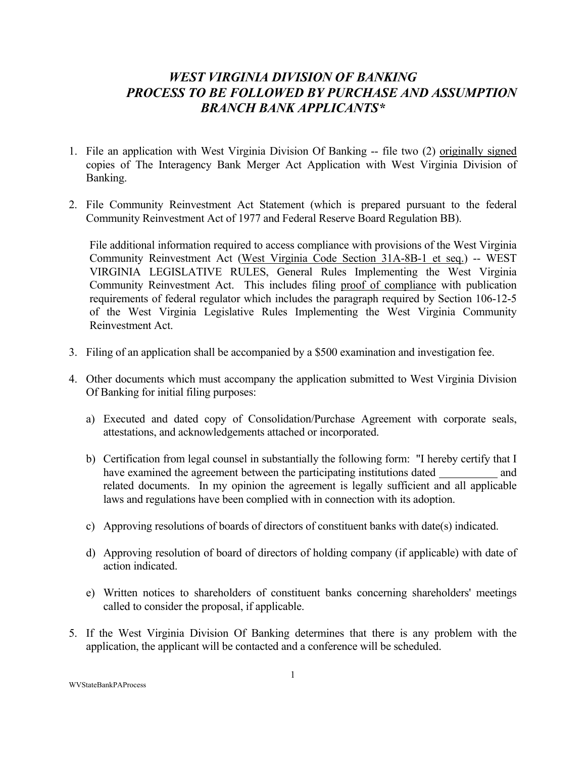## *WEST VIRGINIA DIVISION OF BANKING PROCESS TO BE FOLLOWED BY PURCHASE AND ASSUMPTION BRANCH BANK APPLICANTS\**

- 1. File an application with West Virginia Division Of Banking -- file two (2) originally signed copies of The Interagency Bank Merger Act Application with West Virginia Division of Banking.
- 2. File Community Reinvestment Act Statement (which is prepared pursuant to the federal Community Reinvestment Act of 1977 and Federal Reserve Board Regulation BB).

File additional information required to access compliance with provisions of the West Virginia Community Reinvestment Act (West Virginia Code Section 31A-8B-1 et seq.) -- WEST VIRGINIA LEGISLATIVE RULES, General Rules Implementing the West Virginia Community Reinvestment Act. This includes filing proof of compliance with publication requirements of federal regulator which includes the paragraph required by Section 106-12-5 of the West Virginia Legislative Rules Implementing the West Virginia Community Reinvestment Act.

- 3. Filing of an application shall be accompanied by a \$500 examination and investigation fee.
- 4. Other documents which must accompany the application submitted to West Virginia Division Of Banking for initial filing purposes:
	- a) Executed and dated copy of Consolidation/Purchase Agreement with corporate seals, attestations, and acknowledgements attached or incorporated.
	- b) Certification from legal counsel in substantially the following form: "I hereby certify that I have examined the agreement between the participating institutions dated and related documents. In my opinion the agreement is legally sufficient and all applicable laws and regulations have been complied with in connection with its adoption.
	- c) Approving resolutions of boards of directors of constituent banks with date(s) indicated.
	- d) Approving resolution of board of directors of holding company (if applicable) with date of action indicated.
	- e) Written notices to shareholders of constituent banks concerning shareholders' meetings called to consider the proposal, if applicable.
- 5. If the West Virginia Division Of Banking determines that there is any problem with the application, the applicant will be contacted and a conference will be scheduled.

WVStateBankPAProcess